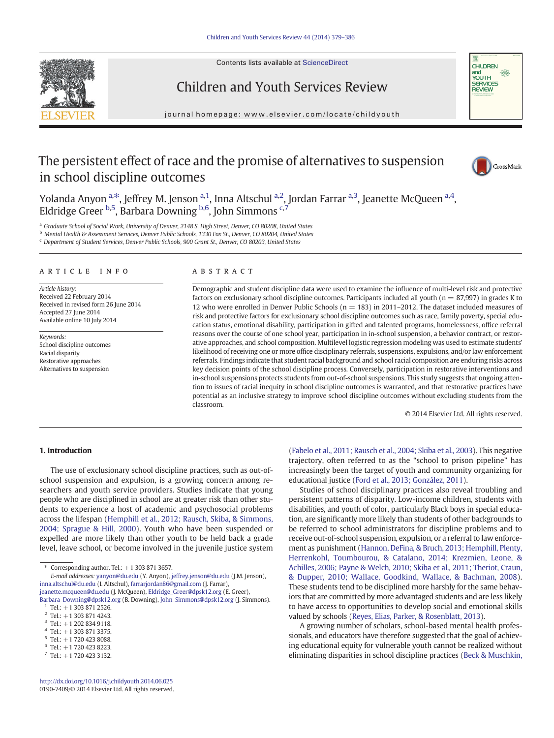Contents lists available at [ScienceDirect](http://www.sciencedirect.com/science/journal/01907409)



Children and Youth Services Review

journal homepage: www.elsevier.com/locate/childyouth

# The persistent effect of race and the promise of alternatives to suspension in school discipline outcomes



**CHILDREN** 

and<br>YOUTH SERVICES<br>REVIEW  $\frac{1}{2}$ 

Yolanda Anyon <sup>a,\*</sup>, Jeffrey M. Jenson <sup>a,1</sup>, Inna Altschul <sup>a,2</sup>, Jordan Farrar <sup>a,3</sup>, Jeanette McQueen <sup>a,4</sup>, Eldridge Greer <sup>b,5</sup>, Barbara Downing <sup>b,6</sup>, John Simmons <sup>c,7</sup>

a Graduate School of Social Work, University of Denver, 2148 S. High Street, Denver, CO 80208, United States

<sup>b</sup> Mental Health & Assessment Services, Denver Public Schools, 1330 Fox St., Denver, CO 80204, United States

<sup>c</sup> Department of Student Services, Denver Public Schools, 900 Grant St., Denver, CO 80203, United States

# article info abstract

Article history: Received 22 February 2014 Received in revised form 26 June 2014 Accepted 27 June 2014 Available online 10 July 2014

Keywords: School discipline outcomes Racial disparity Restorative approaches Alternatives to suspension

Demographic and student discipline data were used to examine the influence of multi-level risk and protective factors on exclusionary school discipline outcomes. Participants included all youth ( $n = 87,997$ ) in grades K to 12 who were enrolled in Denver Public Schools ( $n = 183$ ) in 2011–2012. The dataset included measures of risk and protective factors for exclusionary school discipline outcomes such as race, family poverty, special education status, emotional disability, participation in gifted and talented programs, homelessness, office referral reasons over the course of one school year, participation in in-school suspension, a behavior contract, or restorative approaches, and school composition. Multilevel logistic regression modeling was used to estimate students' likelihood of receiving one or more office disciplinary referrals, suspensions, expulsions, and/or law enforcement referrals. Findings indicate that student racial background and school racial composition are enduring risks across key decision points of the school discipline process. Conversely, participation in restorative interventions and in-school suspensions protects students from out-of-school suspensions. This study suggests that ongoing attention to issues of racial inequity in school discipline outcomes is warranted, and that restorative practices have potential as an inclusive strategy to improve school discipline outcomes without excluding students from the classroom.

© 2014 Elsevier Ltd. All rights reserved.

# 1. Introduction

The use of exclusionary school discipline practices, such as out-ofschool suspension and expulsion, is a growing concern among researchers and youth service providers. Studies indicate that young people who are disciplined in school are at greater risk than other students to experience a host of academic and psychosocial problems across the lifespan ([Hemphill et al., 2012; Rausch, Skiba, & Simmons,](#page-7-0) [2004; Sprague & Hill, 2000](#page-7-0)). Youth who have been suspended or expelled are more likely than other youth to be held back a grade level, leave school, or become involved in the juvenile justice system

E-mail addresses: [yanyon@du.edu](mailto:yanyon@du.edu) (Y. Anyon), [jeffrey.jenson@du.edu](mailto:jeffrey.jenson@du.edu) (J.M. Jenson), [inna.altschul@du.edu](mailto:inna.altschul@du.edu) (I. Altschul), [farrarjordan86@gmail.com](mailto:farrarjordan86@gmail.com) (J. Farrar), [jeanette.mcqueen@du.edu](mailto:jeanette.mcqueen@du.edu) (J. McQueen), [Eldridge\\_Greer@dpsk12.org](mailto:Eldridge_Greer@dpsk12.org) (E. Greer),

- $4$  Tel.:  $+1$  303 871 3375.
- <sup>5</sup> Tel.: +1 720 423 8088.
- <sup>6</sup> Tel.: +1 720 423 8223.
- $7$  Tel.:  $+1$  720 423 3132.

[\(Fabelo et al., 2011; Rausch et al., 2004; Skiba et al., 2003](#page-6-0)). This negative trajectory, often referred to as the "school to prison pipeline" has increasingly been the target of youth and community organizing for educational justice [\(Ford et al., 2013; González, 2011\)](#page-6-0).

Studies of school disciplinary practices also reveal troubling and persistent patterns of disparity. Low-income children, students with disabilities, and youth of color, particularly Black boys in special education, are significantly more likely than students of other backgrounds to be referred to school administrators for discipline problems and to receive out-of-school suspension, expulsion, or a referral to law enforcement as punishment [\(Hannon, DeFina, & Bruch, 2013; Hemphill, Plenty,](#page-7-0) [Herrenkohl, Toumbourou, & Catalano, 2014; Krezmien, Leone, &](#page-7-0) [Achilles, 2006; Payne & Welch, 2010; Skiba et al., 2011; Theriot, Craun,](#page-7-0) [& Dupper, 2010; Wallace, Goodkind, Wallace, & Bachman, 2008](#page-7-0)). These students tend to be disciplined more harshly for the same behaviors that are committed by more advantaged students and are less likely to have access to opportunities to develop social and emotional skills valued by schools ([Reyes, Elias, Parker, & Rosenblatt, 2013\)](#page-7-0).

A growing number of scholars, school-based mental health professionals, and educators have therefore suggested that the goal of achieving educational equity for vulnerable youth cannot be realized without eliminating disparities in school discipline practices ([Beck & Muschkin,](#page-6-0)

Corresponding author. Tel.:  $+1$  303 871 3657.

[Barbara\\_Downing@dpsk12.org](mailto:Barbara_Downing@dpsk12.org) (B. Downing), [John\\_Simmons@dpsk12.org](mailto:John_Simmons@dpsk12.org) (J. Simmons).  $1$  Tel.: +1 303 871 2526.

<sup>&</sup>lt;sup>2</sup> Tel.: +1 303 871 4243.

 $Tel: +1 202 834 9118.$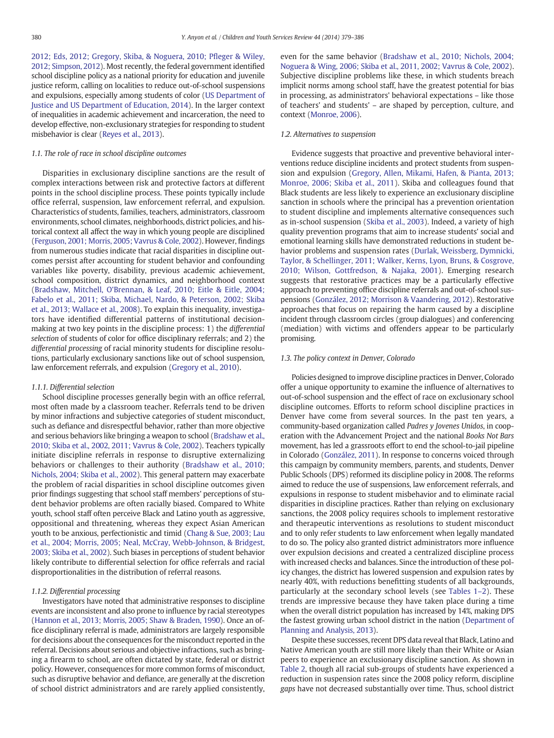[2012; Eds, 2012; Gregory, Skiba, & Noguera, 2010; P](#page-6-0)fleger & Wiley, [2012; Simpson, 2012\)](#page-6-0). Most recently, the federal government identified school discipline policy as a national priority for education and juvenile justice reform, calling on localities to reduce out-of-school suspensions and expulsions, especially among students of color ([US Department of](#page-7-0) [Justice and US Department of Education, 2014](#page-7-0)). In the larger context of inequalities in academic achievement and incarceration, the need to develop effective, non-exclusionary strategies for responding to student misbehavior is clear [\(Reyes et al., 2013](#page-7-0)).

#### 1.1. The role of race in school discipline outcomes

Disparities in exclusionary discipline sanctions are the result of complex interactions between risk and protective factors at different points in the school discipline process. These points typically include office referral, suspension, law enforcement referral, and expulsion. Characteristics of students, families, teachers, administrators, classroom environments, school climates, neighborhoods, district policies, and historical context all affect the way in which young people are disciplined [\(Ferguson, 2001; Morris, 2005; Vavrus & Cole, 2002\)](#page-6-0). However, findings from numerous studies indicate that racial disparities in discipline outcomes persist after accounting for student behavior and confounding variables like poverty, disability, previous academic achievement, school composition, district dynamics, and neighborhood context [\(Bradshaw, Mitchell, O'Brennan, & Leaf, 2010; Eitle & Eitle, 2004;](#page-6-0) [Fabelo et al., 2011; Skiba, Michael, Nardo, & Peterson, 2002; Skiba](#page-6-0) [et al., 2013; Wallace et al., 2008](#page-6-0)). To explain this inequality, investigators have identified differential patterns of institutional decisionmaking at two key points in the discipline process: 1) the differential selection of students of color for office disciplinary referrals; and 2) the differential processing of racial minority students for discipline resolutions, particularly exclusionary sanctions like out of school suspension, law enforcement referrals, and expulsion ([Gregory et al., 2010](#page-6-0)).

# 1.1.1. Differential selection

School discipline processes generally begin with an office referral, most often made by a classroom teacher. Referrals tend to be driven by minor infractions and subjective categories of student misconduct, such as defiance and disrespectful behavior, rather than more objective and serious behaviors like bringing a weapon to school ([Bradshaw et al.,](#page-6-0) [2010; Skiba et al., 2002, 2011; Vavrus & Cole, 2002\)](#page-6-0). Teachers typically initiate discipline referrals in response to disruptive externalizing behaviors or challenges to their authority ([Bradshaw et al., 2010;](#page-6-0) [Nichols, 2004; Skiba et al., 2002](#page-6-0)). This general pattern may exacerbate the problem of racial disparities in school discipline outcomes given prior findings suggesting that school staff members' perceptions of student behavior problems are often racially biased. Compared to White youth, school staff often perceive Black and Latino youth as aggressive, oppositional and threatening, whereas they expect Asian American youth to be anxious, perfectionistic and timid [\(Chang & Sue, 2003; Lau](#page-6-0) [et al., 2004; Morris, 2005; Neal, McCray, Webb-Johnson, & Bridgest,](#page-6-0) [2003; Skiba et al., 2002\)](#page-6-0). Such biases in perceptions of student behavior likely contribute to differential selection for office referrals and racial disproportionalities in the distribution of referral reasons.

#### 1.1.2. Differential processing

Investigators have noted that administrative responses to discipline events are inconsistent and also prone to influence by racial stereotypes [\(Hannon et al., 2013; Morris, 2005; Shaw & Braden, 1990\)](#page-7-0). Once an office disciplinary referral is made, administrators are largely responsible for decisions about the consequences for the misconduct reported in the referral. Decisions about serious and objective infractions, such as bringing a firearm to school, are often dictated by state, federal or district policy. However, consequences for more common forms of misconduct, such as disruptive behavior and defiance, are generally at the discretion of school district administrators and are rarely applied consistently,

even for the same behavior [\(Bradshaw et al., 2010; Nichols, 2004;](#page-6-0) [Noguera & Wing, 2006; Skiba et al., 2011, 2002; Vavrus & Cole, 2002](#page-6-0)). Subjective discipline problems like these, in which students breach implicit norms among school staff, have the greatest potential for bias in processing, as administrators' behavioral expectations – like those of teachers' and students' – are shaped by perception, culture, and context [\(Monroe, 2006\)](#page-7-0).

# 1.2. Alternatives to suspension

Evidence suggests that proactive and preventive behavioral interventions reduce discipline incidents and protect students from suspension and expulsion ([Gregory, Allen, Mikami, Hafen, & Pianta, 2013;](#page-6-0) [Monroe, 2006; Skiba et al., 2011](#page-6-0)). Skiba and colleagues found that Black students are less likely to experience an exclusionary discipline sanction in schools where the principal has a prevention orientation to student discipline and implements alternative consequences such as in-school suspension [\(Skiba et al., 2003](#page-7-0)). Indeed, a variety of high quality prevention programs that aim to increase students' social and emotional learning skills have demonstrated reductions in student behavior problems and suspension rates ([Durlak, Weissberg, Dymnicki,](#page-6-0) [Taylor, & Schellinger, 2011; Walker, Kerns, Lyon, Bruns, & Cosgrove,](#page-6-0) [2010; Wilson, Gottfredson, & Najaka, 2001](#page-6-0)). Emerging research suggests that restorative practices may be a particularly effective approach to preventing office discipline referrals and out-of-school suspensions [\(González, 2012; Morrison & Vaandering, 2012](#page-6-0)). Restorative approaches that focus on repairing the harm caused by a discipline incident through classroom circles (group dialogues) and conferencing (mediation) with victims and offenders appear to be particularly promising.

#### 1.3. The policy context in Denver, Colorado

Policies designed to improve discipline practices in Denver, Colorado offer a unique opportunity to examine the influence of alternatives to out-of-school suspension and the effect of race on exclusionary school discipline outcomes. Efforts to reform school discipline practices in Denver have come from several sources. In the past ten years, a community-based organization called Padres y Jovenes Unidos, in cooperation with the Advancement Project and the national Books Not Bars movement, has led a grassroots effort to end the school-to-jail pipeline in Colorado ([González, 2011\)](#page-6-0). In response to concerns voiced through this campaign by community members, parents, and students, Denver Public Schools (DPS) reformed its discipline policy in 2008. The reforms aimed to reduce the use of suspensions, law enforcement referrals, and expulsions in response to student misbehavior and to eliminate racial disparities in discipline practices. Rather than relying on exclusionary sanctions, the 2008 policy requires schools to implement restorative and therapeutic interventions as resolutions to student misconduct and to only refer students to law enforcement when legally mandated to do so. The policy also granted district administrators more influence over expulsion decisions and created a centralized discipline process with increased checks and balances. Since the introduction of these policy changes, the district has lowered suspension and expulsion rates by nearly 40%, with reductions benefitting students of all backgrounds, particularly at the secondary school levels (see [Tables 1](#page-2-0)–2). These trends are impressive because they have taken place during a time when the overall district population has increased by 14%, making DPS the fastest growing urban school district in the nation [\(Department of](#page-6-0) [Planning and Analysis, 2013](#page-6-0)).

Despite these successes, recent DPS data reveal that Black, Latino and Native American youth are still more likely than their White or Asian peers to experience an exclusionary discipline sanction. As shown in [Table 2](#page-3-0), though all racial sub-groups of students have experienced a reduction in suspension rates since the 2008 policy reform, discipline gaps have not decreased substantially over time. Thus, school district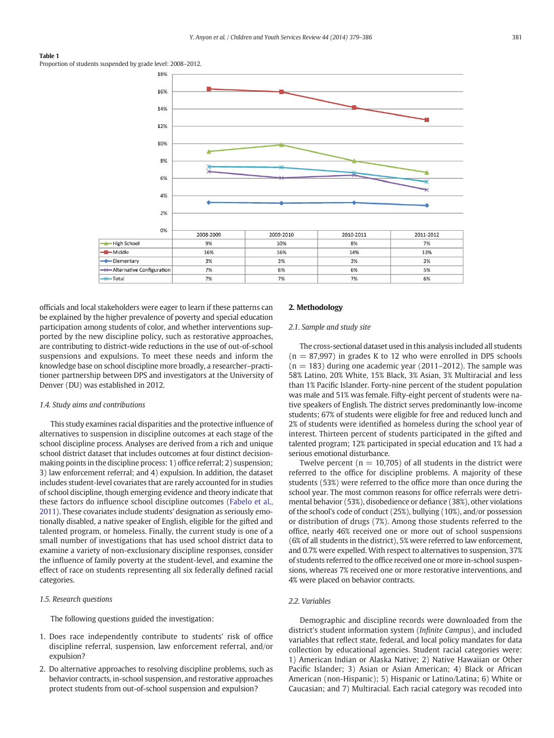#### <span id="page-2-0"></span>Table 1

Proportion of students suspended by grade level: 2008–2012.



officials and local stakeholders were eager to learn if these patterns can be explained by the higher prevalence of poverty and special education participation among students of color, and whether interventions supported by the new discipline policy, such as restorative approaches, are contributing to district-wide reductions in the use of out-of-school suspensions and expulsions. To meet these needs and inform the knowledge base on school discipline more broadly, a researcher–practitioner partnership between DPS and investigators at the University of Denver (DU) was established in 2012.

#### 1.4. Study aims and contributions

This study examines racial disparities and the protective influence of alternatives to suspension in discipline outcomes at each stage of the school discipline process. Analyses are derived from a rich and unique school district dataset that includes outcomes at four distinct decisionmaking points in the discipline process: 1) office referral; 2) suspension; 3) law enforcement referral; and 4) expulsion. In addition, the dataset includes student-level covariates that are rarely accounted for in studies of school discipline, though emerging evidence and theory indicate that these factors do influence school discipline outcomes [\(Fabelo et al.,](#page-6-0) [2011](#page-6-0)). These covariates include students' designation as seriously emotionally disabled, a native speaker of English, eligible for the gifted and talented program, or homeless. Finally, the current study is one of a small number of investigations that has used school district data to examine a variety of non-exclusionary discipline responses, consider the influence of family poverty at the student-level, and examine the effect of race on students representing all six federally defined racial categories.

# 1.5. Research questions

The following questions guided the investigation:

- 1. Does race independently contribute to students' risk of office discipline referral, suspension, law enforcement referral, and/or expulsion?
- 2. Do alternative approaches to resolving discipline problems, such as behavior contracts, in-school suspension, and restorative approaches protect students from out-of-school suspension and expulsion?

# 2. Methodology

## 2.1. Sample and study site

The cross-sectional dataset used in this analysis included all students  $(n = 87,997)$  in grades K to 12 who were enrolled in DPS schools  $(n = 183)$  during one academic year (2011–2012). The sample was 58% Latino, 20% White, 15% Black, 3% Asian, 3% Multiracial and less than 1% Pacific Islander. Forty-nine percent of the student population was male and 51% was female. Fifty-eight percent of students were native speakers of English. The district serves predominantly low-income students; 67% of students were eligible for free and reduced lunch and 2% of students were identified as homeless during the school year of interest. Thirteen percent of students participated in the gifted and talented program; 12% participated in special education and 1% had a serious emotional disturbance.

Twelve percent ( $n = 10,705$ ) of all students in the district were referred to the office for discipline problems. A majority of these students (53%) were referred to the office more than once during the school year. The most common reasons for office referrals were detrimental behavior (53%), disobedience or defiance (38%), other violations of the school's code of conduct (25%), bullying (10%), and/or possession or distribution of drugs (7%). Among those students referred to the office, nearly 46% received one or more out of school suspensions (6% of all students in the district), 5% were referred to law enforcement, and 0.7% were expelled. With respect to alternatives to suspension, 37% of students referred to the office received one or more in-school suspensions, whereas 7% received one or more restorative interventions, and 4% were placed on behavior contracts.

# 2.2. Variables

Demographic and discipline records were downloaded from the district's student information system (Infinite Campus), and included variables that reflect state, federal, and local policy mandates for data collection by educational agencies. Student racial categories were: 1) American Indian or Alaska Native; 2) Native Hawaiian or Other Pacific Islander; 3) Asian or Asian American; 4) Black or African American (non-Hispanic); 5) Hispanic or Latino/Latina; 6) White or Caucasian; and 7) Multiracial. Each racial category was recoded into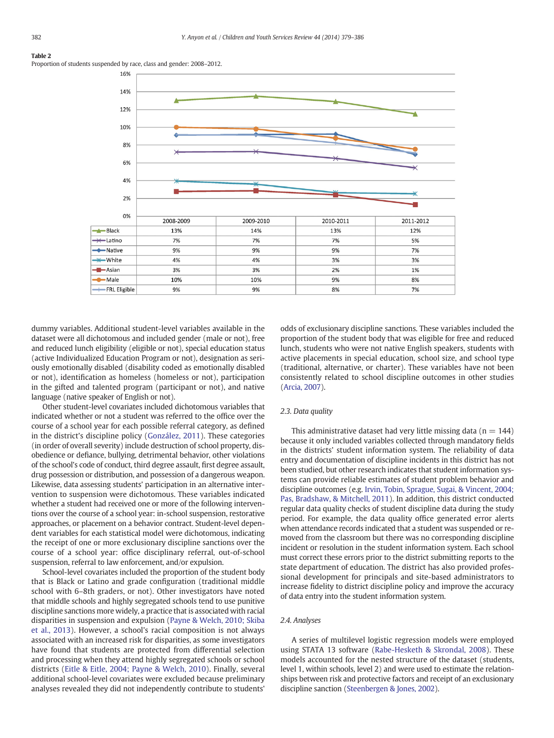#### <span id="page-3-0"></span>Table 2

Proportion of students suspended by race, class and gender: 2008–2012.



dummy variables. Additional student-level variables available in the dataset were all dichotomous and included gender (male or not), free and reduced lunch eligibility (eligible or not), special education status (active Individualized Education Program or not), designation as seriously emotionally disabled (disability coded as emotionally disabled or not), identification as homeless (homeless or not), participation in the gifted and talented program (participant or not), and native language (native speaker of English or not).

Other student-level covariates included dichotomous variables that indicated whether or not a student was referred to the office over the course of a school year for each possible referral category, as defined in the district's discipline policy ([González, 2011\)](#page-6-0). These categories (in order of overall severity) include destruction of school property, disobedience or defiance, bullying, detrimental behavior, other violations of the school's code of conduct, third degree assault, first degree assault, drug possession or distribution, and possession of a dangerous weapon. Likewise, data assessing students' participation in an alternative intervention to suspension were dichotomous. These variables indicated whether a student had received one or more of the following interventions over the course of a school year: in-school suspension, restorative approaches, or placement on a behavior contract. Student-level dependent variables for each statistical model were dichotomous, indicating the receipt of one or more exclusionary discipline sanctions over the course of a school year: office disciplinary referral, out-of-school suspension, referral to law enforcement, and/or expulsion.

School-level covariates included the proportion of the student body that is Black or Latino and grade configuration (traditional middle school with 6–8th graders, or not). Other investigators have noted that middle schools and highly segregated schools tend to use punitive discipline sanctions more widely, a practice that is associated with racial disparities in suspension and expulsion ([Payne & Welch, 2010; Skiba](#page-7-0) [et al., 2013](#page-7-0)). However, a school's racial composition is not always associated with an increased risk for disparities, as some investigators have found that students are protected from differential selection and processing when they attend highly segregated schools or school districts ([Eitle & Eitle, 2004; Payne & Welch, 2010\)](#page-6-0). Finally, several additional school-level covariates were excluded because preliminary analyses revealed they did not independently contribute to students' odds of exclusionary discipline sanctions. These variables included the proportion of the student body that was eligible for free and reduced lunch, students who were not native English speakers, students with active placements in special education, school size, and school type (traditional, alternative, or charter). These variables have not been consistently related to school discipline outcomes in other studies [\(Arcia, 2007\)](#page-6-0).

#### 2.3. Data quality

This administrative dataset had very little missing data ( $n = 144$ ) because it only included variables collected through mandatory fields in the districts' student information system. The reliability of data entry and documentation of discipline incidents in this district has not been studied, but other research indicates that student information systems can provide reliable estimates of student problem behavior and discipline outcomes (e.g. [Irvin, Tobin, Sprague, Sugai, & Vincent, 2004;](#page-7-0) [Pas, Bradshaw, & Mitchell, 2011\)](#page-7-0). In addition, this district conducted regular data quality checks of student discipline data during the study period. For example, the data quality office generated error alerts when attendance records indicated that a student was suspended or removed from the classroom but there was no corresponding discipline incident or resolution in the student information system. Each school must correct these errors prior to the district submitting reports to the state department of education. The district has also provided professional development for principals and site-based administrators to increase fidelity to district discipline policy and improve the accuracy of data entry into the student information system.

# 2.4. Analyses

A series of multilevel logistic regression models were employed using STATA 13 software [\(Rabe-Hesketh & Skrondal, 2008\)](#page-7-0). These models accounted for the nested structure of the dataset (students, level 1, within schools, level 2) and were used to estimate the relationships between risk and protective factors and receipt of an exclusionary discipline sanction [\(Steenbergen & Jones, 2002](#page-7-0)).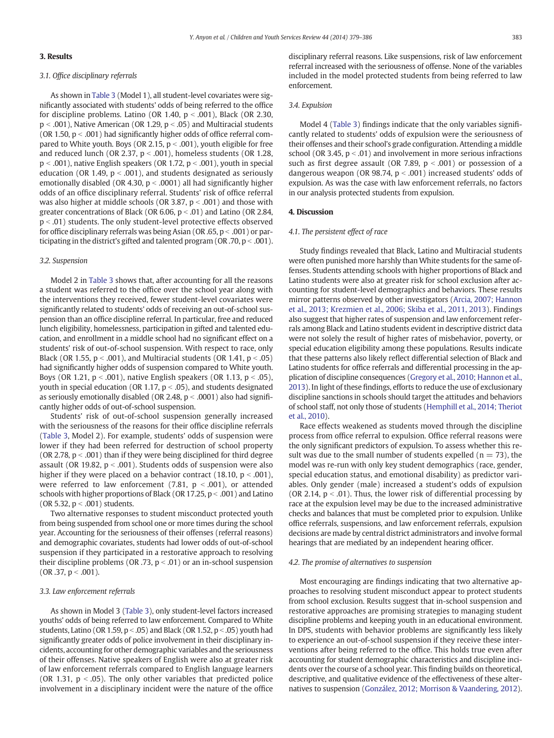# 3.1. Office disciplinary referrals

As shown in [Table 3](#page-5-0) (Model 1), all student-level covariates were significantly associated with students' odds of being referred to the office for discipline problems. Latino (OR 1.40,  $p < .001$ ), Black (OR 2.30,  $p < .001$ ), Native American (OR 1.29,  $p < .05$ ) and Multiracial students (OR 1.50,  $p < .001$ ) had significantly higher odds of office referral compared to White youth. Boys (OR 2.15,  $p < .001$ ), youth eligible for free and reduced lunch (OR 2.37,  $p < .001$ ), homeless students (OR 1.28,  $p < .001$ ), native English speakers (OR 1.72,  $p < .001$ ), youth in special education (OR 1.49,  $p < .001$ ), and students designated as seriously emotionally disabled (OR 4.30,  $p < .0001$ ) all had significantly higher odds of an office disciplinary referral. Students' risk of office referral was also higher at middle schools (OR 3.87,  $p < .001$ ) and those with greater concentrations of Black (OR 6.06,  $p < .01$ ) and Latino (OR 2.84,  $p < .01$ ) students. The only student-level protective effects observed for office disciplinary referrals was being Asian (OR .65,  $p < .001$ ) or participating in the district's gifted and talented program (OR  $.70, p < .001$ ).

# 3.2. Suspension

Model 2 in [Table 3](#page-5-0) shows that, after accounting for all the reasons a student was referred to the office over the school year along with the interventions they received, fewer student-level covariates were significantly related to students' odds of receiving an out-of-school suspension than an office discipline referral. In particular, free and reduced lunch eligibility, homelessness, participation in gifted and talented education, and enrollment in a middle school had no significant effect on a students' risk of out-of-school suspension. With respect to race, only Black (OR 1.55,  $p < .001$ ), and Multiracial students (OR 1.41,  $p < .05$ ) had significantly higher odds of suspension compared to White youth. Boys (OR 1.21,  $p < .001$ ), native English speakers (OR 1.13,  $p < .05$ ), youth in special education (OR 1.17,  $p < .05$ ), and students designated as seriously emotionally disabled (OR 2.48,  $p < .0001$ ) also had significantly higher odds of out-of-school suspension.

Students' risk of out-of-school suspension generally increased with the seriousness of the reasons for their office discipline referrals [\(Table 3](#page-5-0), Model 2). For example, students' odds of suspension were lower if they had been referred for destruction of school property (OR 2.78,  $p < .001$ ) than if they were being disciplined for third degree assault (OR 19.82,  $p < .001$ ). Students odds of suspension were also higher if they were placed on a behavior contract (18.10,  $p < .001$ ), were referred to law enforcement (7.81,  $p < .001$ ), or attended schools with higher proportions of Black (OR 17.25,  $p < .001$ ) and Latino (OR 5.32,  $p < .001$ ) students.

Two alternative responses to student misconduct protected youth from being suspended from school one or more times during the school year. Accounting for the seriousness of their offenses (referral reasons) and demographic covariates, students had lower odds of out-of-school suspension if they participated in a restorative approach to resolving their discipline problems (OR .73,  $p < .01$ ) or an in-school suspension  $(OR.37, p < .001).$ 

# 3.3. Law enforcement referrals

As shown in Model 3 ([Table 3](#page-5-0)), only student-level factors increased youths' odds of being referred to law enforcement. Compared to White students, Latino (OR 1.59,  $p < .05$ ) and Black (OR 1.52,  $p < .05$ ) youth had significantly greater odds of police involvement in their disciplinary incidents, accounting for other demographic variables and the seriousness of their offenses. Native speakers of English were also at greater risk of law enforcement referrals compared to English language learners (OR 1.31,  $p < .05$ ). The only other variables that predicted police involvement in a disciplinary incident were the nature of the office disciplinary referral reasons. Like suspensions, risk of law enforcement referral increased with the seriousness of offense. None of the variables included in the model protected students from being referred to law enforcement.

# 3.4. Expulsion

Model 4 [\(Table 3](#page-5-0)) findings indicate that the only variables significantly related to students' odds of expulsion were the seriousness of their offenses and their school's grade configuration. Attending a middle school (OR 3.45,  $p < .01$ ) and involvement in more serious infractions such as first degree assault (OR 7.89,  $p < .001$ ) or possession of a dangerous weapon (OR 98.74,  $p < .001$ ) increased students' odds of expulsion. As was the case with law enforcement referrals, no factors in our analysis protected students from expulsion.

# 4. Discussion

#### 4.1. The persistent effect of race

Study findings revealed that Black, Latino and Multiracial students were often punished more harshly than White students for the same offenses. Students attending schools with higher proportions of Black and Latino students were also at greater risk for school exclusion after accounting for student-level demographics and behaviors. These results mirror patterns observed by other investigators ([Arcia, 2007; Hannon](#page-6-0) [et al., 2013; Krezmien et al., 2006; Skiba et al., 2011, 2013\)](#page-6-0). Findings also suggest that higher rates of suspension and law enforcement referrals among Black and Latino students evident in descriptive district data were not solely the result of higher rates of misbehavior, poverty, or special education eligibility among these populations. Results indicate that these patterns also likely reflect differential selection of Black and Latino students for office referrals and differential processing in the application of discipline consequences [\(Gregory et al., 2010; Hannon et al.,](#page-6-0) [2013](#page-6-0)). In light of these findings, efforts to reduce the use of exclusionary discipline sanctions in schools should target the attitudes and behaviors of school staff, not only those of students ([Hemphill et al., 2014; Theriot](#page-7-0)  $et al. 2010$ 

Race effects weakened as students moved through the discipline process from office referral to expulsion. Office referral reasons were the only significant predictors of expulsion. To assess whether this result was due to the small number of students expelled ( $n = 73$ ), the model was re-run with only key student demographics (race, gender, special education status, and emotional disability) as predictor variables. Only gender (male) increased a student's odds of expulsion (OR 2.14,  $p < .01$ ). Thus, the lower risk of differential processing by race at the expulsion level may be due to the increased administrative checks and balances that must be completed prior to expulsion. Unlike office referrals, suspensions, and law enforcement referrals, expulsion decisions are made by central district administrators and involve formal hearings that are mediated by an independent hearing officer.

#### 4.2. The promise of alternatives to suspension

Most encouraging are findings indicating that two alternative approaches to resolving student misconduct appear to protect students from school exclusion. Results suggest that in-school suspension and restorative approaches are promising strategies to managing student discipline problems and keeping youth in an educational environment. In DPS, students with behavior problems are significantly less likely to experience an out-of-school suspension if they receive these interventions after being referred to the office. This holds true even after accounting for student demographic characteristics and discipline incidents over the course of a school year. This finding builds on theoretical, descriptive, and qualitative evidence of the effectiveness of these alternatives to suspension [\(González, 2012; Morrison & Vaandering, 2012](#page-6-0)).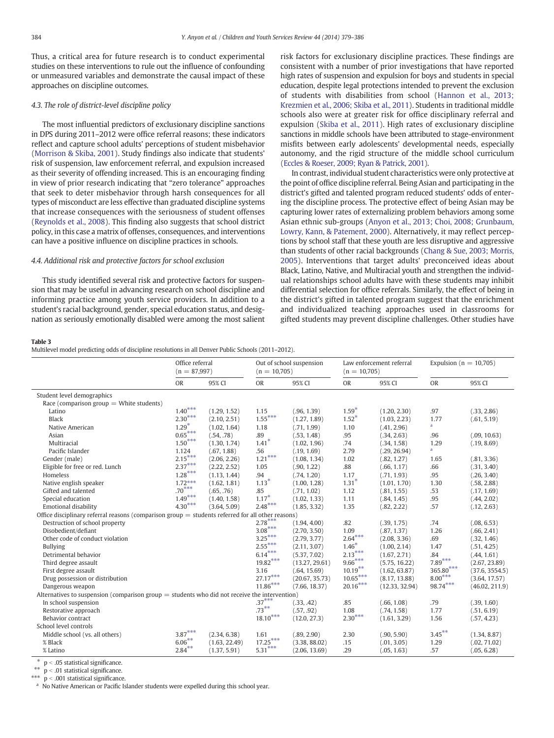<span id="page-5-0"></span>Thus, a critical area for future research is to conduct experimental studies on these interventions to rule out the influence of confounding or unmeasured variables and demonstrate the causal impact of these approaches on discipline outcomes.

# 4.3. The role of district-level discipline policy

The most influential predictors of exclusionary discipline sanctions in DPS during 2011–2012 were office referral reasons; these indicators reflect and capture school adults' perceptions of student misbehavior [\(Morrison & Skiba, 2001](#page-7-0)). Study findings also indicate that students' risk of suspension, law enforcement referral, and expulsion increased as their severity of offending increased. This is an encouraging finding in view of prior research indicating that "zero tolerance" approaches that seek to deter misbehavior through harsh consequences for all types of misconduct are less effective than graduated discipline systems that increase consequences with the seriousness of student offenses [\(Reynolds et al., 2008\)](#page-7-0). This finding also suggests that school district policy, in this case a matrix of offenses, consequences, and interventions can have a positive influence on discipline practices in schools.

# 4.4. Additional risk and protective factors for school exclusion

This study identified several risk and protective factors for suspension that may be useful in advancing research on school discipline and informing practice among youth service providers. In addition to a student's racial background, gender, special education status, and designation as seriously emotionally disabled were among the most salient risk factors for exclusionary discipline practices. These findings are consistent with a number of prior investigations that have reported high rates of suspension and expulsion for boys and students in special education, despite legal protections intended to prevent the exclusion of students with disabilities from school ([Hannon et al., 2013;](#page-7-0) [Krezmien et al., 2006; Skiba et al., 2011\)](#page-7-0). Students in traditional middle schools also were at greater risk for office disciplinary referral and expulsion [\(Skiba et al., 2011](#page-7-0)). High rates of exclusionary discipline sanctions in middle schools have been attributed to stage-environment misfits between early adolescents' developmental needs, especially autonomy, and the rigid structure of the middle school curriculum [\(Eccles & Roeser, 2009; Ryan & Patrick, 2001](#page-6-0)).

In contrast, individual student characteristics were only protective at the point of office discipline referral. Being Asian and participating in the district's gifted and talented program reduced students' odds of entering the discipline process. The protective effect of being Asian may be capturing lower rates of externalizing problem behaviors among some Asian ethnic sub-groups [\(Anyon et al., 2013; Choi, 2008; Grunbaum,](#page-6-0) [Lowry, Kann, & Patement, 2000\)](#page-6-0). Alternatively, it may reflect perceptions by school staff that these youth are less disruptive and aggressive than students of other racial backgrounds ([Chang & Sue, 2003; Morris,](#page-6-0) [2005](#page-6-0)). Interventions that target adults' preconceived ideas about Black, Latino, Native, and Multiracial youth and strengthen the individual relationships school adults have with these students may inhibit differential selection for office referrals. Similarly, the effect of being in the district's gifted in talented program suggest that the enrichment and individualized teaching approaches used in classrooms for gifted students may prevent discipline challenges. Other studies have

#### Table 3

Multilevel model predicting odds of discipline resolutions in all Denver Public Schools (2011–2012).

|                                                                                                     | Office referral<br>$(n = 87,997)$ |               | Out of school suspension<br>$(n = 10.705)$ |                | Law enforcement referral<br>$(n = 10.705)$ |                | Expulsion ( $n = 10,705$ ) |                |
|-----------------------------------------------------------------------------------------------------|-----------------------------------|---------------|--------------------------------------------|----------------|--------------------------------------------|----------------|----------------------------|----------------|
|                                                                                                     | <b>OR</b>                         | 95% CI        | <b>OR</b>                                  | 95% CI         | <b>OR</b>                                  | 95% CI         | <b>OR</b>                  | 95% CI         |
| Student level demographics                                                                          |                                   |               |                                            |                |                                            |                |                            |                |
| Race (comparison group $=$ White students)                                                          |                                   |               |                                            |                |                                            |                |                            |                |
| Latino                                                                                              | $1.40***$                         | (1.29, 1.52)  | 1.15                                       | (.96, 1.39)    | $1.59*$                                    | (1.20, 2.30)   | .97                        | (.33, 2.86)    |
| <b>Black</b>                                                                                        | $2.30***$                         | (2.10, 2.51)  | $1.55***$                                  | (1.27, 1.89)   | $1.52*$                                    | (1.03, 2.23)   | 1.77                       | (.61, 5.19)    |
| Native American                                                                                     | $1.29*$                           | (1.02, 1.64)  | 1.18                                       | (.71, 1.99)    | 1.10                                       | (.41, 2.96)    | a                          |                |
| Asian                                                                                               | $0.65***$                         | (.54, .78)    | .89                                        | (.53, 1.48)    | .95                                        | (.34, 2.63)    | .96                        | (.09, 10.63)   |
| Multiracial                                                                                         | $1.50***$                         | (1.30, 1.74)  | $1.41*$                                    | (1.02, 1.96)   | .74                                        | (.34, 1.58)    | 1.29                       | (.19, 8.69)    |
| Pacific Islander                                                                                    | 1.124                             | (.67, 1.88)   | .56                                        | (.19, 1.69)    | 2.79                                       | (.29, 26.94)   | a                          |                |
| Gender (male)                                                                                       | $2.15***$                         | (2.06, 2.26)  | $1.21***$                                  | (1.08, 1.34)   | 1.02                                       | (.82, 1.27)    | 1.65                       | (.81, 3.36)    |
| Eligible for free or red. Lunch                                                                     | $2.37***$                         | (2.22, 2.52)  | 1.05                                       | (.90, 1.22)    | .88                                        | (.66, 1.17)    | .66                        | (.31, 3.40)    |
| Homeless                                                                                            | $1.28***$                         | (1.13, 1.44)  | .94                                        | (.74, 1.20)    | 1.17                                       | (.71, 1.93)    | .95                        | (.26, 3.40)    |
| Native english speaker                                                                              | $1.72***$                         | (1.62, 1.81)  | $1.13*$                                    | (1.00, 1.28)   | $1.31*$                                    | (1.01, 1.70)   | 1.30                       | (.58, 2.88)    |
| Gifted and talented                                                                                 | $.70***$                          | (.65, .76)    | .85                                        | (.71, 1.02)    | 1.12                                       | (.81, 1.55)    | .53                        | (.17, 1.69)    |
| Special education                                                                                   | $1.49***$                         | (1.40, 1.58)  | $1.17*$                                    | (1.02, 1.33)   | 1.11                                       | (.84, 1.45)    | .95                        | (.44, 2.02)    |
| <b>Emotional disability</b>                                                                         | $4.30***$                         | (3.64, 5.09)  | $2.48***$                                  | (1.85, 3.32)   | 1.35                                       | (.82, 2.22)    | .57                        | (.12, 2.63)    |
| Office disciplinary referral reasons (comparison group $=$ students referred for all other reasons) |                                   |               |                                            |                |                                            |                |                            |                |
| Destruction of school property                                                                      |                                   |               | $2.78***$                                  | (1.94, 4.00)   | .82                                        | (.39, 1.75)    | .74                        | (.08, 6.53)    |
| Disobedient/defiant                                                                                 |                                   |               | $3.08***$                                  | (2.70, 3.50)   | 1.09                                       | (.87, 1.37)    | 1.26                       | (.66, 2.41)    |
| Other code of conduct violation                                                                     |                                   |               | $3.25***$                                  | (2.79, 3.77)   | $2.64***$                                  | (2.08, 3.36)   | .69                        | (.32, 1.46)    |
| <b>Bullying</b>                                                                                     |                                   |               | $2.55***$                                  | (2.11, 3.07)   | $1.46*$                                    | (1.00, 2.14)   | 1.47                       | (.51, 4.25)    |
| Detrimental behavior                                                                                |                                   |               | $6.14***$                                  | (5.37, 7.02)   | $2.13***$                                  | (1.67, 2.71)   | .84                        | (.44, 1.61)    |
| Third degree assault                                                                                |                                   |               | $19.82***$                                 | (13.27, 29.61) | $9.66***$                                  | (5.75, 16.22)  | $7.89***$                  | (2.67, 23.89)  |
| First degree assault                                                                                |                                   |               | 3.16                                       | (.64, 15.69)   | $10.19***$                                 | (1.62, 63.87)  | $365.80***$                | (37.6, 3554.5) |
| Drug possession or distribution                                                                     |                                   |               | $27.17^{\ast\ast\ast}$                     | (20.67, 35.73) | $10.65***$                                 | (8.17, 13.88)  | $8.00***$                  | (3.64, 17.57)  |
| Dangerous weapon                                                                                    |                                   |               | $11.86***$                                 | (7.66, 18.37)  | $20.16***$                                 | (12.33, 32.94) | $98.74***$                 | (46.02, 211.9) |
| Alternatives to suspension (comparison group $=$ students who did not receive the intervention)     |                                   |               |                                            |                |                                            |                |                            |                |
| In school suspension                                                                                |                                   |               | $37***$                                    | (.33, .42)     | .85                                        | (.66, 1.08)    | .79                        | (.39, 1.60)    |
| Restorative approach                                                                                |                                   |               | $.73***$                                   | (.57, .92)     | 1.08                                       | (.74, 1.58)    | 1.77                       | (.51, 6.19)    |
| Behavior contract                                                                                   |                                   |               | $18.10***$                                 | (12.0, 27.3)   | $2.30***$                                  | (1.61, 3.29)   | 1.56                       | (.57, 4.23)    |
| School level controls                                                                               |                                   |               |                                            |                |                                            |                |                            |                |
| Middle school (vs. all others)                                                                      | $3.87***$                         | (2.34, 6.38)  | 1.61                                       | (.89, 2.90)    | 2.30                                       | (.90, 5.90)    | $3.45***$                  | (1.34, 8.87)   |
| % Black                                                                                             | $6.06***$                         | (1.63, 22.49) | $17.25***$                                 | (3.38, 88.02)  | .15                                        | (.01, 3.05)    | 1.29                       | (.02, 71.02)   |
| % Latino                                                                                            | $2.84***$                         | (1.37, 5.91)  | $5.31***$                                  | (2.06, 13.69)  | .29                                        | (.05, 1.63)    | .57                        | (.05, 6.28)    |

 $*$  p < .05 statistical significance.

 $p < .01$  statistical significance.

 $**$   $p < .001$  statistical significance.

<sup>a</sup> No Native American or Pacific Islander students were expelled during this school year.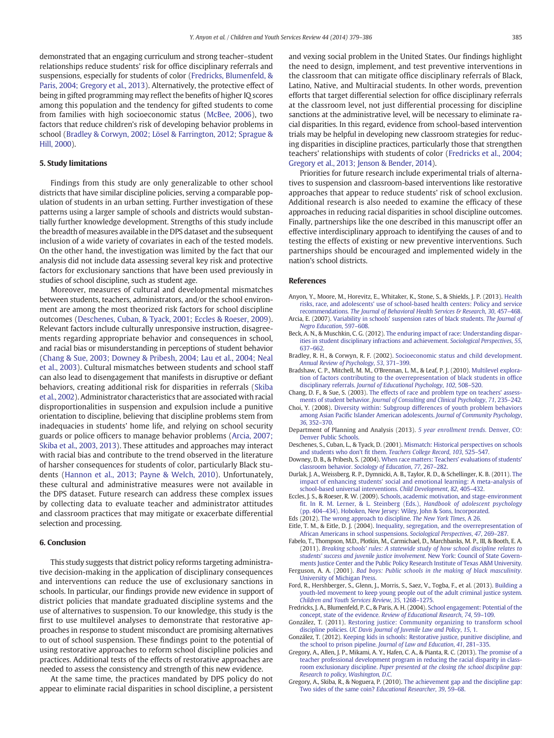<span id="page-6-0"></span>demonstrated that an engaging curriculum and strong teacher–student relationships reduce students' risk for office disciplinary referrals and suspensions, especially for students of color (Fredricks, Blumenfeld, & Paris, 2004; Gregory et al., 2013). Alternatively, the protective effect of being in gifted programming may reflect the benefits of higher IQ scores among this population and the tendency for gifted students to come from families with high socioeconomic status [\(McBee, 2006\)](#page-7-0), two factors that reduce children's risk of developing behavior problems in school (Bradley & Corwyn, 2002; Lösel & Farrington, 2012; Sprague & Hill, 2000).

#### 5. Study limitations

Findings from this study are only generalizable to other school districts that have similar discipline policies, serving a comparable population of students in an urban setting. Further investigation of these patterns using a larger sample of schools and districts would substantially further knowledge development. Strengths of this study include the breadth of measures available in the DPS dataset and the subsequent inclusion of a wide variety of covariates in each of the tested models. On the other hand, the investigation was limited by the fact that our analysis did not include data assessing several key risk and protective factors for exclusionary sanctions that have been used previously in studies of school discipline, such as student age.

Moreover, measures of cultural and developmental mismatches between students, teachers, administrators, and/or the school environment are among the most theorized risk factors for school discipline outcomes (Deschenes, Cuban, & Tyack, 2001; Eccles & Roeser, 2009). Relevant factors include culturally unresponsive instruction, disagreements regarding appropriate behavior and consequences in school, and racial bias or misunderstanding in perceptions of student behavior (Chang & Sue, 2003; Downey & Pribesh, 2004; Lau et al., 2004; Neal et al., 2003). Cultural mismatches between students and school staff can also lead to disengagement that manifests in disruptive or defiant behaviors, creating additional risk for disparities in referrals ([Skiba](#page-7-0) [et al., 2002\)](#page-7-0). Administrator characteristics that are associated with racial disproportionalities in suspension and expulsion include a punitive orientation to discipline, believing that discipline problems stem from inadequacies in students' home life, and relying on school security guards or police officers to manage behavior problems (Arcia, 2007; Skiba et al., 2003, 2013). These attitudes and approaches may interact with racial bias and contribute to the trend observed in the literature of harsher consequences for students of color, particularly Black students ([Hannon et al., 2013; Payne & Welch, 2010](#page-7-0)). Unfortunately, these cultural and administrative measures were not available in the DPS dataset. Future research can address these complex issues by collecting data to evaluate teacher and administrator attitudes and classroom practices that may mitigate or exacerbate differential selection and processing.

# 6. Conclusion

This study suggests that district policy reforms targeting administrative decision-making in the application of disciplinary consequences and interventions can reduce the use of exclusionary sanctions in schools. In particular, our findings provide new evidence in support of district policies that mandate graduated discipline systems and the use of alternatives to suspension. To our knowledge, this study is the first to use multilevel analyses to demonstrate that restorative approaches in response to student misconduct are promising alternatives to out of school suspension. These findings point to the potential of using restorative approaches to reform school discipline policies and practices. Additional tests of the effects of restorative approaches are needed to assess the consistency and strength of this new evidence.

At the same time, the practices mandated by DPS policy do not appear to eliminate racial disparities in school discipline, a persistent and vexing social problem in the United States. Our findings highlight the need to design, implement, and test preventive interventions in the classroom that can mitigate office disciplinary referrals of Black, Latino, Native, and Multiracial students. In other words, prevention efforts that target differential selection for office disciplinary referrals at the classroom level, not just differential processing for discipline sanctions at the administrative level, will be necessary to eliminate racial disparities. In this regard, evidence from school-based intervention trials may be helpful in developing new classroom strategies for reducing disparities in discipline practices, particularly those that strengthen teachers' relationships with students of color (Fredricks et al., 2004; Gregory et al., 2013; Jenson & Bender, 2014).

Priorities for future research include experimental trials of alternatives to suspension and classroom-based interventions like restorative approaches that appear to reduce students' risk of school exclusion. Additional research is also needed to examine the efficacy of these approaches in reducing racial disparities in school discipline outcomes. Finally, partnerships like the one described in this manuscript offer an effective interdisciplinary approach to identifying the causes of and to testing the effects of existing or new preventive interventions. Such partnerships should be encouraged and implemented widely in the nation's school districts.

#### References

- Anyon, Y., Moore, M., Horevitz, E., Whitaker, K., Stone, S., & Shields, J. P. (2013). [Health](http://refhub.elsevier.com/S0190-7409(14)00248-5/rf0300) [risks, race, and adolescents' use of school-based health centers: Policy and service](http://refhub.elsevier.com/S0190-7409(14)00248-5/rf0300) recommendations. [The Journal of Behavioral Health Services & Research](http://refhub.elsevier.com/S0190-7409(14)00248-5/rf0300), 30, 457-468.
- Arcia, E. (2007). [Variability in schools' suspension rates of black students.](http://refhub.elsevier.com/S0190-7409(14)00248-5/rf0010) The Journal of [Negro Education](http://refhub.elsevier.com/S0190-7409(14)00248-5/rf0010), 597–608.
- Beck, A. N., & Muschkin, C. G. (2012). [The enduring impact of race: Understanding dispar](http://refhub.elsevier.com/S0190-7409(14)00248-5/rf0015)[ities in student disciplinary infractions and achievement.](http://refhub.elsevier.com/S0190-7409(14)00248-5/rf0015) Sociological Perspectives, 55, 637–[662.](http://refhub.elsevier.com/S0190-7409(14)00248-5/rf0015)
- Bradley, R. H., & Corwyn, R. F. (2002). [Socioeconomic status and child development.](http://refhub.elsevier.com/S0190-7409(14)00248-5/rf0020) [Annual Review of Psychology](http://refhub.elsevier.com/S0190-7409(14)00248-5/rf0020), 53, 371–399.
- Bradshaw, C. P., Mitchell, M. M., O'Brennan, L. M., & Leaf, P. J. (2010). [Multilevel explora](http://refhub.elsevier.com/S0190-7409(14)00248-5/rf0025)[tion of factors contributing to the overrepresentation of black students in of](http://refhub.elsevier.com/S0190-7409(14)00248-5/rf0025)fice disciplinary referrals. [Journal of Educational Psychology](http://refhub.elsevier.com/S0190-7409(14)00248-5/rf0025), 102, 508–520.
- Chang, D. F., & Sue, S. (2003). [The effects of race and problem type on teachers' assess](http://refhub.elsevier.com/S0190-7409(14)00248-5/rf0030)ments of student behavior. [Journal of Consulting and Clinical Psychology](http://refhub.elsevier.com/S0190-7409(14)00248-5/rf0030), 71, 235–242.
- Choi, Y. (2008). [Diversity within: Subgroup differences of youth problem behaviors](http://refhub.elsevier.com/S0190-7409(14)00248-5/rf0035) among Asian Pacifi[c Islander American adolescents.](http://refhub.elsevier.com/S0190-7409(14)00248-5/rf0035) Journal of Community Psychology, 36[, 352](http://refhub.elsevier.com/S0190-7409(14)00248-5/rf0035)–370.
- Department of Planning and Analysis (2013). [5 year enrollment trends.](http://refhub.elsevier.com/S0190-7409(14)00248-5/rf0040) Denver, CO: [Denver Public Schools.](http://refhub.elsevier.com/S0190-7409(14)00248-5/rf0040)
- Deschenes, S., Cuban, L., & Tyack, D. (2001). [Mismatch: Historical perspectives on schools](http://refhub.elsevier.com/S0190-7409(14)00248-5/rf0045) [and students who don't](http://refhub.elsevier.com/S0190-7409(14)00248-5/rf0045) fit them. Teachers College Record, 103, 525–547.
- Downey, D. B., & Pribesh, S. (2004). [When race matters: Teachers' evaluations of students'](http://refhub.elsevier.com/S0190-7409(14)00248-5/rf0050) classroom behavior. [Sociology of Education](http://refhub.elsevier.com/S0190-7409(14)00248-5/rf0050), 77, 267–282.
- Durlak, J. A., Weissberg, R. P., Dymnicki, A. B., Taylor, R. D., & Schellinger, K. B. (2011). [The](http://refhub.elsevier.com/S0190-7409(14)00248-5/rf0055) [impact of enhancing students' social and emotional learning: A meta-analysis of](http://refhub.elsevier.com/S0190-7409(14)00248-5/rf0055) [school-based universal interventions.](http://refhub.elsevier.com/S0190-7409(14)00248-5/rf0055) Child Development, 82, 405–432.
- Eccles, J. S., & Roeser, R. W. (2009). [Schools, academic motivation, and stage](http://refhub.elsevier.com/S0190-7409(14)00248-5/rf0060)-environment fi[t. In R. M. Lerner, & L. Steinberg \(Eds.\),](http://refhub.elsevier.com/S0190-7409(14)00248-5/rf0060) Handbook of adolescent psychology (pp. 404–[434\). Hoboken, New Jersey: Wiley, John & Sons, Incorporated.](http://refhub.elsevier.com/S0190-7409(14)00248-5/rf0060)
- Eds (2012). [The wrong approach to discipline.](http://refhub.elsevier.com/S0190-7409(14)00248-5/rf0305) The New York Times, A 26.
- Eitle, T. M., & Eitle, D. J. (2004). [Inequality, segregation, and the overrepresentation of](http://refhub.elsevier.com/S0190-7409(14)00248-5/rf0070) [African Americans in school suspensions.](http://refhub.elsevier.com/S0190-7409(14)00248-5/rf0070) Sociological Perspectives, 47, 269–287.
- Fabelo, T., Thompson, M.D., Plotkin, M., Carmichael, D., Marchbanks, M. P., III, & Booth, E. A. (2011). [Breaking schools' rules: A statewide study of how school discipline relates to](http://refhub.elsevier.com/S0190-7409(14)00248-5/rf0075) [students' success and juvenile justice involvement.](http://refhub.elsevier.com/S0190-7409(14)00248-5/rf0075) New York: Council of State Govern[ments Justice Center and the Public Policy Research Institute of Texas A&M University.](http://refhub.elsevier.com/S0190-7409(14)00248-5/rf0075)
- Ferguson, A. A. (2001). [Bad boys: Public schools in the making of black masculinity.](http://refhub.elsevier.com/S0190-7409(14)00248-5/rf0080) [University of Michigan Press.](http://refhub.elsevier.com/S0190-7409(14)00248-5/rf0080)
- Ford, R., Hershberger, S., Glenn, J., Morris, S., Saez, V., Togba, F., et al. (2013). [Building a](http://refhub.elsevier.com/S0190-7409(14)00248-5/rf0310) [youth-led movement to keep young people out of the adult criminal justice system.](http://refhub.elsevier.com/S0190-7409(14)00248-5/rf0310) [Children and Youth Services Review](http://refhub.elsevier.com/S0190-7409(14)00248-5/rf0310), 35, 1268–1275.
- Fredricks, J. A., Blumenfeld, P. C., & Paris, A. H. (2004). [School engagement: Potential of the](http://refhub.elsevier.com/S0190-7409(14)00248-5/rf0090) concept, state of the evidence. [Review of Educational Research](http://refhub.elsevier.com/S0190-7409(14)00248-5/rf0090), 74, 59–109.
- González, T. (2011). [Restoring justice: Community organizing to transform school](http://refhub.elsevier.com/S0190-7409(14)00248-5/rf0095) discipline policies. [UC Davis Journal of Juvenile Law and Policy](http://refhub.elsevier.com/S0190-7409(14)00248-5/rf0095), 15, 1.
- González, T. (2012). [Keeping kids in schools: Restorative justice, punitive discipline, and](http://refhub.elsevier.com/S0190-7409(14)00248-5/rf0100) [the school to prison pipeline.](http://refhub.elsevier.com/S0190-7409(14)00248-5/rf0100) Journal of Law and Education, 41, 281–335.
- Gregory, A., Allen, J. P., Mikami, A. Y., Hafen, C. A., & Pianta, R. C. (2013). [The promise of a](http://refhub.elsevier.com/S0190-7409(14)00248-5/rf0315) [teacher professional development program in reducing the racial disparity in class](http://refhub.elsevier.com/S0190-7409(14)00248-5/rf0315)room exclusionary discipline. [Paper presented at the closing the school discipline gap:](http://refhub.elsevier.com/S0190-7409(14)00248-5/rf0315) [Research to policy, Washington, D.C](http://refhub.elsevier.com/S0190-7409(14)00248-5/rf0315).
- Gregory, A., Skiba, R., & Noguera, P. (2010). [The achievement gap and the discipline gap:](http://refhub.elsevier.com/S0190-7409(14)00248-5/rf0110) [Two sides of the same coin?](http://refhub.elsevier.com/S0190-7409(14)00248-5/rf0110) Educational Researcher, 39, 59–68.